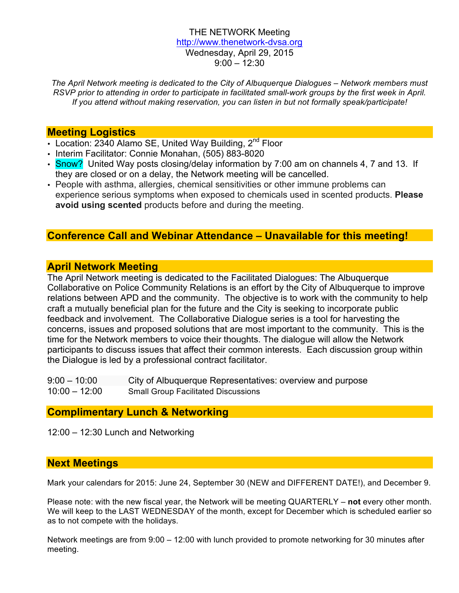#### THE NETWORK Meeting http://www.thenetwork-dvsa.org Wednesday, April 29, 2015 9:00 – 12:30

*The April Network meeting is dedicated to the City of Albuquerque Dialogues – Network members must RSVP prior to attending in order to participate in facilitated small-work groups by the first week in April. If you attend without making reservation, you can listen in but not formally speak/participate!*

#### **Meeting Logistics**

- Location: 2340 Alamo SE, United Way Building, 2<sup>nd</sup> Floor
- Interim Facilitator: Connie Monahan, (505) 883-8020
- Snow? United Way posts closing/delay information by 7:00 am on channels 4, 7 and 13. If they are closed or on a delay, the Network meeting will be cancelled.
- People with asthma, allergies, chemical sensitivities or other immune problems can experience serious symptoms when exposed to chemicals used in scented products. **Please avoid using scented** products before and during the meeting.

## **Conference Call and Webinar Attendance – Unavailable for this meeting!**

## **April Network Meeting**

The April Network meeting is dedicated to the Facilitated Dialogues: The Albuquerque Collaborative on Police Community Relations is an effort by the City of Albuquerque to improve relations between APD and the community. The objective is to work with the community to help craft a mutually beneficial plan for the future and the City is seeking to incorporate public feedback and involvement. The Collaborative Dialogue series is a tool for harvesting the concerns, issues and proposed solutions that are most important to the community. This is the time for the Network members to voice their thoughts. The dialogue will allow the Network participants to discuss issues that affect their common interests. Each discussion group within the Dialogue is led by a professional contract facilitator.

| $9:00 - 10:00$  | City of Albuquerque Representatives: overview and purpose |
|-----------------|-----------------------------------------------------------|
| $10:00 - 12:00$ | <b>Small Group Facilitated Discussions</b>                |

## **Complimentary Lunch & Networking**

12:00 – 12:30 Lunch and Networking

## **Next Meetings**

Mark your calendars for 2015: June 24, September 30 (NEW and DIFFERENT DATE!), and December 9.

Please note: with the new fiscal year, the Network will be meeting QUARTERLY – **not** every other month. We will keep to the LAST WEDNESDAY of the month, except for December which is scheduled earlier so as to not compete with the holidays.

Network meetings are from 9:00 – 12:00 with lunch provided to promote networking for 30 minutes after meeting.